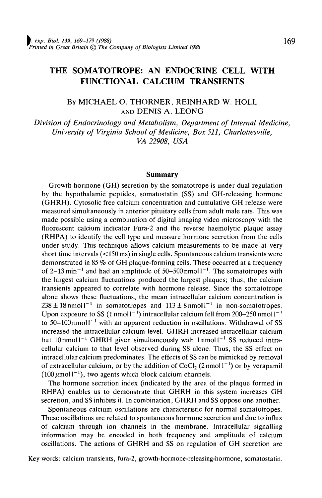# **THE SOMATOTROPE: AN ENDOCRINE CELL WITH FUNCTIONAL CALCIUM TRANSIENTS**

BY MICHAEL O. THORNER, REINHARD W. HOLL AND DENIS A. LEONG

*Division of Endocrinology and Metabolism, Department of Internal Medicine, University of Virginia School of Medicine, Box 511, Charlottesville, VA 22908, USA*

### **Summary**

Growth hormone (GH) secretion by the somatotrope is under dual regulation by the hypothalamic peptides, somatostatin (SS) and GH-releasing hormone (GHRH). Cytosolic free calcium concentration and cumulative GH release were measured simultaneously in anterior pituitary cells from adult male rats. This was made possible using a combination of digital imaging video microscopy with the fluorescent calcium indicator Fura-2 and the reverse haemolytic plaque assay (RHPA) to identify the cell type and measure hormone secretion from the cells under study. This technique allows calcium measurements to be made at very short time intervals (<150ms) in single cells. Spontaneous calcium transients were demonstrated in 85 *%* of GH plaque-forming cells. These occurred at a frequency of 2–13 min<sup>-1</sup> and had an amplitude of 50–500 nmol  $I^{-1}$ . The somatotropes with the largest calcium fluctuations produced the largest plaques; thus, the calcium transients appeared to correlate with hormone release. Since the somatotrope alone shows these fluctuations, the mean intracellular calcium concentration is  $238 \pm 18$  nmoll<sup>-1</sup> in somatotropes and  $113 \pm 8$  nmoll<sup>-1</sup> in non-somatotropes. Upon exposure to SS (1 nmoll<sup>-1</sup>) intracellular calcium fell from 200-250 nmoll<sup>-1</sup> to 50–100 nmol $1^{-1}$  with an apparent reduction in oscillations. Withdrawal of SS increased the intracellular calcium level. GHRH increased intracellular calcium but 10 nmol  $I^{-1}$  GHRH given simultaneously with 1 nmol  $I^{-1}$  SS reduced intracellular calcium to that level observed during SS alone. Thus, the SS effect on intracellular calcium predominates. The effects of SS can be mimicked by removal of extracellular calcium, or by the addition of CoCl<sub>2</sub> (2 nmol  $1^{-1}$ ) or by verapamil  $(100 \,\mu \text{mol})^{-1}$ , two agents which block calcium channels.

The hormone secretion index (indicated by the area of the plaque formed in RHPA) enables us to demonstrate that GHRH in this system increases GH secretion, and SS inhibits it. In combination, GHRH and SS oppose one another.

Spontaneous calcium oscillations are characteristic for normal somatotropes. These oscillations are related to spontaneous hormone secretion and due to influx of calcium through ion channels in the membrane. Intracellular signalling information may be encoded in both frequency and amplitude of calcium oscillations. The actions of GHRH and SS on regulation of GH secretion are

Key words: calcium transients, fura-2, growth-hormone-releasing-hormone, somatostatin.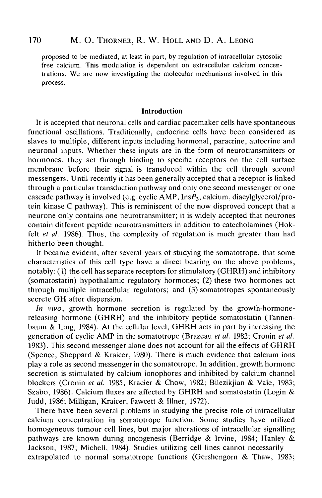proposed to be mediated, at least in part, by regulation of intracellular cytosolic free calcium. This modulation is dependent on extracellular calcium concentrations. We are now investigating the molecular mechanisms involved in this process.

#### **Introduction**

It is accepted that neuronal cells and cardiac pacemaker cells have spontaneous functional oscillations. Traditionally, endocrine cells have been considered as slaves to multiple, different inputs including hormonal, paracrine, autocrine and neuronal inputs. Whether these inputs are in the form of neurotransmitters or hormones, they act through binding to specific receptors on the cell surface membrane before their signal is transduced within the cell through second messengers. Until recently it has been generally accepted that a receptor is linked through a particular transduction pathway and only one second messenger or one cascade pathway is involved (e.g. cyclic AMP,  $InsP_3$ , calcium, diacylglycerol/protein kinase C pathway). This is reminiscent of the now disproved concept that a neurone only contains one neurotransmitter; it is widely accepted that neurones contain different peptide neurotransmitters in addition to catecholamines (Hokfelt *et al.* 1986). Thus, the complexity of regulation is much greater than had hitherto been thought.

It became evident, after several years of studying the somatotrope, that some characteristics of this cell type have a direct bearing on the above problems, notably. (1) the cell has separate receptors for stimulatory (GHRH) and inhibitory (somatostatin) hypothalamic regulatory hormones; (2) these two hormones act through multiple intracellular regulators; and (3) somatotropes spontaneously secrete GH after dispersion.

*In vivo,* growth hormone secretion is regulated by the growth-hormonereleasing hormone (GHRH) and the inhibitory peptide somatostatin (Tannenbaum & Ling, 1984). At the cellular level, GHRH acts in part by increasing the generation of cyclic AMP in the somatotrope (Brazeau *et al.* 1982; Cronin *et al.* 1983). This second messenger alone does not account for all the effects of GHRH (Spence, Sheppard & Kraicer, 1980). There is much evidence that calcium ions play a role as second messenger in the somatotrope. In addition, growth hormone secretion is stimulated by calcium ionophores and inhibited by calcium channel blockers (Cronin *et al.* 1985; Kracier & Chow, 1982; Bilezikjian & Vale, 1983; Szabo, 1986). Calcium fluxes are affected by GHRH and somatostatin (Login & Judd, 1986; Milligan, Kraicer, Fawcett & Illner, 1972).

There have been several problems in studying the precise role of intracellular calcium concentration in somatotrope function. Some studies have utilized homogeneous tumour cell lines, but major alterations of intracellular signalling pathways are known during oncogenesis (Berridge & Irvine, 1984; Hanley & Jackson, 1987; Michell, 1984). Studies utilizing cell lines cannot necessarily extrapolated to normal somatotrope functions (Gershengorn & Thaw, 1983;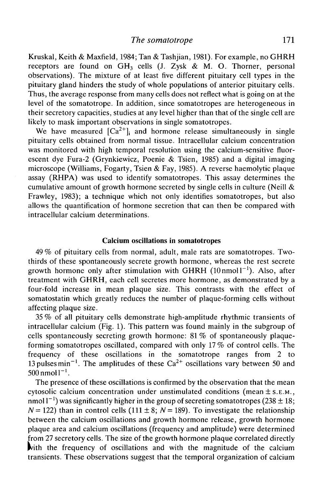Kruskal, Keith & Maxfield, 1984; Tan & Tashjian, 1981). For example, no GHRH receptors are found on  $GH_3$  cells (J. Zysk & M. O. Thorner, personal observations). The mixture of at least five different pituitary cell types in the pituitary gland hinders the study of whole populations of anterior pituitary cells. Thus, the average response from many cells does not reflect what is going on at the level of the somatotrope. In addition, since somatotropes are heterogeneous in their secretory capacities, studies at any level higher than that of the single cell are likely to mask important observations in single somatotropes.

We have measured  $[Ca^{2+}]$  and hormone release simultaneously in single pituitary cells obtained from normal tissue. Intracellular calcium concentration was monitored with high temporal resolution using the calcium-sensitive fluorescent dye Fura-2 (Grynkiewicz, Poenie & Tsien, 1985) and a digital imaging microscope (Williams, Fogarty, Tsien & Fay, 1985). A reverse haemolytic plaque assay (RHPA) was used to identify somatotropes. This assay determines the cumulative amount of growth hormone secreted by single cells in culture (Neill  $\&$ Frawley, 1983); a technique which not only identifies somatotropes, but also allows the quantification of hormone secretion that can then be compared with intracellular calcium determinations.

### **Calcium oscillations in somatotropes**

49 % of pituitary cells from normal, adult, male rats are somatotropes. Twothirds of these spontaneously secrete growth hormone, whereas the rest secrete growth hormone only after stimulation with GHRH  $(10 \text{ nmol } 1^{-1})$ . Also, after treatment with GHRH, each cell secretes more hormone, as demonstrated by a four-fold increase in mean plaque size. This contrasts with the effect of somatostatin which greatly reduces the number of plaque-forming cells without affecting plaque size.

35 *%* of all pituitary cells demonstrate high-amplitude rhythmic transients of intracellular calcium (Fig. 1). This pattern was found mainly in the subgroup of cells spontaneously secreting growth hormone: 81 *%* of spontaneously plaqueforming somatotropes oscillated, compared with only 17 % of control cells. The frequency of these oscillations in the somatotrope ranges from 2 to 13 pulses min<sup>-1</sup>. The amplitudes of these  $Ca^{2+}$  oscillations vary between 50 and  $500$  nmol  $1^{-1}$ .

The presence of these oscillations is confirmed by the observation that the mean cytosolic calcium concentration under unstimulated conditions (mean  $\pm$  s.  $E.M.,$ nmol  $1^{-1}$ ) was significantly higher in the group of secreting somatotropes (238  $\pm$  18;  $N = 122$ ) than in control cells (111 ± 8;  $N = 189$ ). To investigate the relationship between the calcium oscillations and growth hormone release, growth hormone plaque area and calcium oscillations (frequency and amplitude) were determined from 27 secretory cells. The size of the growth hormone plaque correlated directly |vith the frequency of oscillations and with the magnitude of the calcium transients. These observations suggest that the temporal organization of calcium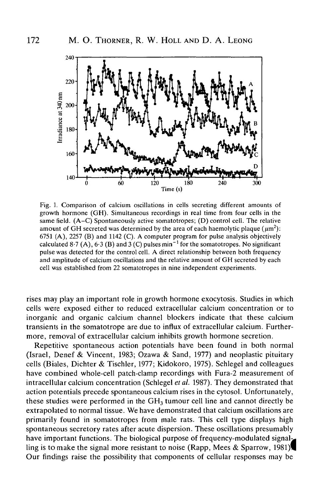

Fig. 1. Comparison of calcium oscillations in cells secreting different amounts of growth hormone (GH). Simultaneous recordings in real time from four cells in the same field. (A-C) Spontaneously active somatotropes; (D) control cell. The relative amount of GH secreted was determined by the area of each haemolytic plaque  $(\mu m^2)$ : 6751 (A), 2257 (B) and 1142 (C). A computer program for pulse analysis objectively calculated 8.7 (A), 6.3 (B) and 3 (C) pulses min<sup>-1</sup> for the somatotropes. No significant pulse was detected for the control cell. A direct relationship between both frequency and amplitude of calcium oscillations and the relative amount of GH secreted by each cell was established from 22 somatotropes in nine independent experiments.

rises may play an important role in growth hormone exocytosis. Studies in which cells were exposed either to reduced extracellular calcium concentration or to inorganic and organic calcium channel blockers indicate that these calcium transients in the somatotrope are due to influx of extracellular calcium. Furthermore, removal of extracellular calcium inhibits growth hormone secretion.

Repetitive spontaneous action potentials have been found in both normal (Israel, Denef & Vincent, 1983; Ozawa & Sand, 1977) and neoplastic pituitary cells (Biales, Dichter & Tischler, 1977; Kidokoro, 1975). Schlegel and colleagues have combined whole-cell patch-clamp recordings with Fura-2 measurement of intracellular calcium concentration (Schlegel *etal.* 1987). They demonstrated that action potentials precede spontaneous calcium rises in the cytosol. Unfortunately, these studies were performed in the  $GH<sub>3</sub>$  tumour cell line and cannot directly be extrapolated to normal tissue. We have demonstrated that calcium oscillations are primarily found in somatotropes from male rats. This cell type displays high spontaneous secretory rates after acute dispersion. These oscillations presumably have important functions. The biological purpose of frequency-modulated signalling is to make the signal more resistant to noise (Rapp, Mees & Sparrow, 1981) Our findings raise the possibility that components of cellular responses may be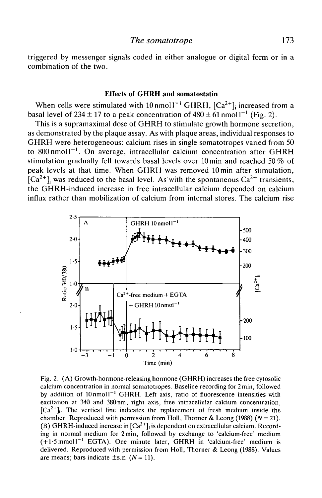triggered by messenger signals coded in either analogue or digital form or in a combination of the two.

#### Effects **of GHRH and somatostatin**

When cells were stimulated with  $10 \text{ nmol} 1^{-1}$  GHRH,  $[\text{Ca}^{2+}]$  increased from a basal level of 234  $\pm$  17 to a peak concentration of 480  $\pm$  61 nmol l<sup>-1</sup> (Fig. 2).

This is a supramaximal dose of GHRH to stimulate growth hormone secretion, as demonstrated by the plaque assay. As with plaque areas, individual responses to GHRH were heterogeneous: calcium rises in single somatotropes varied from 50 to 800 nmol  $I^{-1}$ . On average, intracellular calcium concentration after GHRH stimulation gradually fell towards basal levels over 10 min and reached 50 % of peak levels at that time. When GHRH was removed 10min after stimulation,  $\left[Ca^{2+}\right]$  was reduced to the basal level. As with the spontaneous  $Ca^{2+}$  transients, the GHRH-induced increase in free intracellular calcium depended on calcium influx rather than mobilization of calcium from internal stores. The calcium rise



Fig. 2. (A) Growth-hormone-releasing hormone (GHRH) increases the free cytosolic calcium concentration in normal somatotropes. Baseline recording for 2 min, followed by addition of 10 nmol <sup>1</sup> GHRH. Left axis, ratio of fluorescence intensities with excitation at 340 and 380nm; right axis, free intracellular calcium concentration,  $[Ca<sup>2+</sup>]$ . The vertical line indicates the replacement of fresh medium inside the chamber. Reproduced with permission from Holl, Thorner & Leong (1988)  $(N = 21)$ *.* (B) GHRH-induced increase in  $[Ca^{2+}]$  is dependent on extracellular calcium. Recording in normal medium for 2min, followed by exchange to 'calcium-free' medium  $(+1.5 \text{ mmol})^{-1}$  EGTA). One minute later, GHRH in 'calcium-free' medium is delivered. Reproduced with permission from Holl, Thorner & Leong (1988). Values are means; bars indicate  $\pm$ s.*E.* (*N* = 11).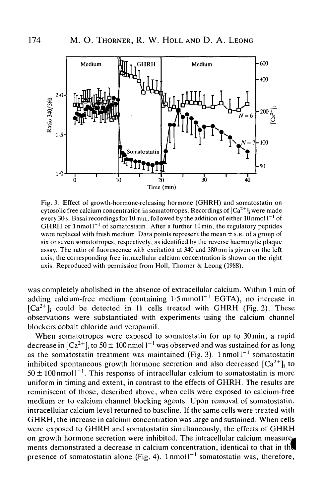

Fig. 3. Effect of growth-hormone-releasing hormone (GHRH) and somatostatin on cytosolic free calcium concentration in somatotropes. Recordings of  $\left[Ca^{2+}\right]$ ; were made every 30 s. Basal recordings for 10 min, followed by the addition of either 10 nmol  $1^{-1}$  of GHRH or  $1$  nmol $1^{-1}$  of somatostatin. After a further  $10$  min, the regulatory peptides were replaced with fresh medium. Data points represent the mean  $\pm$  s. E. of a group of six or seven somatotropes, respectively, as identified by the reverse haemolytic plaque assay. The ratio of fluorescence with excitation at 340 and 380 nm is given on the left axis, the corresponding free intracellular calcium concentration is shown on the right axis. Reproduced with permission from Holl, Thorner & Leong (1988).

was completely abolished in the absence of extracellular calcium. Within 1 min of adding calcium-free medium (containing  $1.5$  mmoll<sup>-1</sup> EGTA), no increase in  $[Ca^{2+}]}$  could be detected in 11 cells treated with GHRH (Fig. 2). These observations were substantiated with experiments using the calcium channel blockers cobalt chloride and verapamil.

When somatotropes were exposed to somatostatin for up to 30min, a rapid decrease in  $\left[Ca^{2+}\right]_i$  to 50  $\pm$  100 nmol  $1^{-1}$  was observed and was sustained for as long as the somatostatin treatment was maintained (Fig. 3).  $1$ nmol $1<sup>-1</sup>$  somatostatin inhibited spontaneous growth hormone secretion and also decreased  $[Ca^{2+}]$ ; to  $50 \pm 100$  nmoll<sup>-1</sup>. This response of intracellular calcium to somatostatin is more uniform in timing and extent, in contrast to the effects of GHRH. The results are reminiscent of those, described above, when cells were exposed to calcium-free medium or to calcium channel blocking agents. Upon removal of somatostatin, intracellular calcium level returned to baseline. If the same cells were treated with GHRH, the increase in calcium concentration was large and sustained. When cells were exposed to GHRH and somatostatin simultaneously, the effects of GHRH on growth hormone secretion were inhibited. The intracellular calcium measure, ments demonstrated a decrease in calcium concentration, identical to that in the presence of somatostatin alone (Fig. 4).  $1 \text{ nmol} 1^{-1}$  somatostatin was, therefore,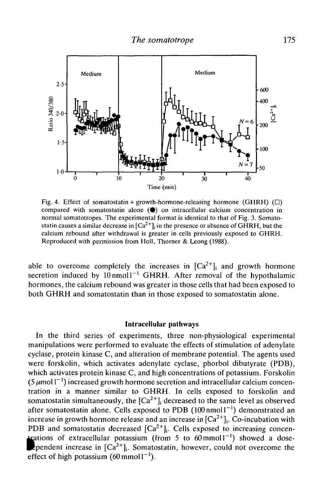

Fig. 4. Effect of somatostatin + growth-hormone-releasing hormone (GHRH) ( $\square$ ) compared with somatostatin alone  $(\bullet)$  on intracellular calcium concentration in normal somatotropes. The experimental format is identical to that of Fig. 3. Somatostatin causes a similar decrease in  $[Ca^{2+}]_i$  in the presence or absence of GHRH, but the calcium rebound after withdrawal is greater in cells previously exposed to GHRH. Reproduced with permission from Holl, Thorner & Leong (1988).

able to overcome completely the increases in  $[Ca^{2+}]$  and growth hormone secretion induced by  $10 \text{ nmol} 1^{-1}$  GHRH. After removal of the hypothalamic hormones, the calcium rebound was greater in those cells that had been exposed to both GHRH and somatostatin than in those exposed to somatostatin alone.

#### Intracellular pathways

In the third series of experiments, three non-physiological experimental manipulations were performed to evaluate the effects of stimulation of adenylate cyclase, protein kinase C, and alteration of membrane potential. The agents used were forskolin, which activates adenylate cyclase, phorbol dibutyrate (PDB), which activates protein kinase C, and high concentrations of potassium. Forskolin (5  $\mu$ moll<sup>-1</sup>) increased growth hormone secretion and intracellular calcium concentration in a manner similar to GHRH. In cells exposed to forskolin and somatostatin simultaneously, the  $[Ca^{2+}]$ ; decreased to the same level as observed after somatostatin alone. Cells exposed to PDB  $(100 \text{ nmol1}^{-1})$  demonstrated an increase in growth hormone release and an increase in  $[Ca^{2+}]_i$ . Co-incubation with PDB and somatostatin decreased  $[Ca^{2+}]_i$ . Cells exposed to increasing concentrations of extracellular potassium (from 5 to  $60 \text{ mmol}^{-1}$ ) showed a dose-Ependent increase in  $[\text{Ca}^{2+}]$ . Somatostatin, however, could not overcome the effect of high potassium  $(60 \text{ mmol1}^{-1})$ .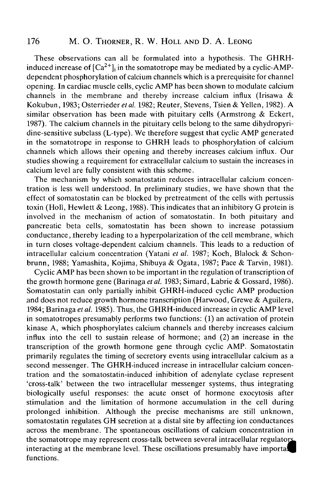## 176 M. O. THORNER, R. W. HOLL AND D. A. LEONG

These observations can all be formulated into a hypothesis. The GHRHinduced increase of  $[Ca^{2+}]$ ; in the somatotrope may be mediated by a cyclic-AMPdependent phosphorylation of calcium channels which is a prerequisite for channel opening. In cardiac muscle cells, cyclic AMP has been shown to modulate calcium channels in the membrane and thereby increase calcium influx (Irisawa & Kokubun, 1983; Osterrieder ef *al.* 1982; Reuter, Stevens, Tsien & Yellen, 1982). A similar observation has been made with pituitary cells (Armstrong & Eckert, 1987). The calcium channels in the pituitary cells belong to the same dihydropyridine-sensitive subclass (L-type). We therefore suggest that cyclic AMP generated in the somatotrope in response to GHRH leads to phosphorylation of calcium channels which allows their opening and thereby increases calcium influx. Our studies showing a requirement for extracellular calcium to sustain the increases in calcium level are fully consistent with this scheme.

The mechanism by which somatostatin reduces intracellular calcium concentration is less well understood. In preliminary studies, we have shown that the effect of somatostatin can be blocked by pretreatment of the cells with pertussis toxin (Holl, Hewlett & Leong, 1988). This indicates that an inhibitory G protein is involved in the mechanism of action of somatostatin. In both pituitary and pancreatic beta cells, somatostatin has been shown to increase potassium conductance, thereby leading to a hyperpolarization of the cell membrane, which in turn closes voltage-dependent calcium channels. This leads to a reduction of intracellular calcium concentration (Yatani *et al.* 1987; Koch, Blalock & Schonbrunn, 1988; Yamashita, Kojima, Shibuya & Ogata, 1987; Pace & Tarvin, 1981).

Cyclic AMP has been shown to be important in the regulation of transcription of the growth hormone gene (Barinaga *et al.* 1983; Simard, Labrie & Gossard, 1986). Somatostatin can only partially inhibit GHRH-induced cyclic AMP production and does not reduce growth hormone transcription (Harwood, Grewe & Aguilera, 1984; Barinaga *et al.* 1985). Thus, the GHRH-induced increase in cyclic AMP level in somatotropes presumably performs two functions: (1) an activation of protein kinase A, which phosphorylates calcium channels and thereby increases calcium influx into the cell to sustain release of hormone; and (2) an increase in the transcription of the growth hormone gene through cyclic AMP. Somatostatin primarily regulates the timing of secretory events using intracellular calcium as a second messenger. The GHRH-induced increase in intracellular calcium concentration and the somatostatin-induced inhibition of adenylate cyclase represent 'cross-talk' between the two intracellular messenger systems, thus integrating biologically useful responses: the acute onset of hormone exocytosis after stimulation and the limitation of hormone accumulation in the cell during prolonged inhibition. Although the precise mechanisms are still unknown, somatostatin regulates GH secretion at a distal site by affecting ion conductances across the membrane. The spontaneous oscillations of calcium concentration in the somatotrope may represent cross-talk between several intracellular regulators interacting at the membrane level. These oscillations presumably have importal functions.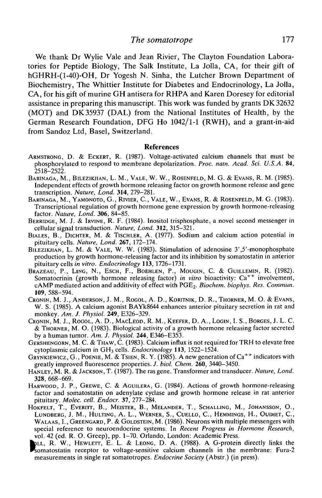We thank Dr Wylie Vale and Jean Rivier, The Clayton Foundation Laboratories for Peptide Biology, The Salk Institute, La Jolla, CA, for their gift of hGHRH-(l-40)-OH, Dr Yogesh N. Sinha, the Lutcher Brown Department of Biochemistry, The Whittier Institute for Diabetes and Endocrinology, La Jolla, CA, for his gift of murine GH antisera for RHPA and Karen Doresey for editorial assistance in preparing this manuscript. This work was funded by grants DK 32632 (MOT) and DK35937 (DAL) from the National Institutes of Health, by the German Research Foundation, DFG Ho 1042/1-1 (RWH), and a grant-in-aid from Sandoz Ltd, Basel, Switzerland.

#### References

- ARMSTRONG, D. & ECKERT, R. (1987). Voltage-activated calcium channels that must be phosphorylated to respond to membrane depolarization. *Proc. natn. Acad. Sci. U.S.A.* 84,
- BARINAGA, M., BILEZIKJIAN, L. M., VALE, W. W., ROSENFELD, M. G. & EVANS, R. M. (1985).<br>Independent effects of growth hormone releasing factor on growth hormone release and gene<br>transcription. *Nature, Lond.* 314, 279-281.
- BARINAGA, M., YAMONOTO, G., RIVIER, C., VALE, W., EVANS, R. & ROSENFELD, M. G. (1983).<br>Transcriptional regulation of growth hormone gene expression by growth hormone-releasing<br>factor. Nature. Lond. 306, 84–85.
- BERRIDGE, M. J. & IRVINE, R. F. (1984). Inositol trisphosphate, a novel second messenger in cellular signal transduction. *Nature, Lond.* 312, 315–321.
- BIALES, B., DICHTER, M. & TISCHLER, A. (1977). Sodium and calcium action potential in pituitary cells. *Nature, Lond.* **267**, 172–174.
- BILEZIKJIAN, L. M. & VALE, W. W. (1983). Stimulation of adenosine 3',5'-monophosphate production by growth hormone-releasing factor and its inhibition by somatostatin in anterior pituitary cells *in vitro. Endocrinology* 113, 1726–1731.
- Brazeau, P., Ling, N., Esch, F., Boehlen, P., Mougin, C. & Guillemin, R. (1982). Somatocrinin (growth hormone releasing factor) in vitro bioactivity: Ca<sup>++</sup> involvement, cAMP mediated action and additivity of effect with PGE2. *Biochem. biophys. Res. Commun.* **109,** 588-594.
- CRONIN, M. J., ANDERSON, J. M., ROGOL, A. D., KORITNIK, D. R., THORNER, M. O. & EVANS, W. S. (1985). A calcium agonist BAYk8644 enhances anterior pituitary secretion in rat and monkey. *Am. J. Physiol.* **249,** E326-329.
- CRONIN, M. J., ROGOL, A. D., MACLEOD, R. M.,KEEFER, D. A., LOGIN, I. S., BORGES, J. L. C. & THORNER, M. O. (1983). Biological activity of a growth hormone releasing factor secreted by a human tumor. Am. J. Physiol. 244, E346–E353.
- **GERSHENGORN, M. C. & THAW, C. (1983). Calcium influx is not required for TRH to elevate free** cytoplasmic calcium in GH<sub>3</sub> cells. *Endocrinology* 113, 1522–1524. cytoplasmic calcium in GH3 cells. *Endocrinology* **113,** 1522-1524. GRYNKIEWICZ, G., POENIE, M. &TSIEN, R. Y. (1985). A new generation of Ca++ indicators with
- greatly improved fluorescence properties. *J. biol. Chem.* **260,** 3440-3450. HANLEY, M. R. & JACKSON, T. (1987). The ras gene. Transformer and transducer. *Nature, Lond.*
- **328**, 668–669.<br>HARWOOD, J. P., GREWE, C. & AGUILERA, G. (1984). Actions of growth hormone-releasing
- factor and somatostatin on adenylate cyclase and growth hormone release in rat anterior pituitary. *Molec. cell. Endocr.* 37, 277-284.
- HOKFELT, T., EVERITT, B., MEISTER, B., MELANDER, T., SCHALLING, M., JOHANSSON, O., LUNDBERG, J. M., HULTING, A. L., WERNER, S., CUELLO, C, HEMMINGS, H., OUIMET, C, WALAAS, I., GREENGARD, P. & GOLDSTEIN, M. (1986). Neurons with multiple messengers with special reference to neuroendocrine systems. In *Recent Progress in Hormone Research,* vol. 42 (ed. R. O. Greep), pp. 1-70. Orlando, London: Academic Press.
- **.** LL, R. W., HEWLETT, E. L. & LEONG, D. A. (1988). A G-protein directly links the somatostatin receptor to voltage-sensitive calcium channels in the membrane: Fura-2 measurements in single rat somatotropes. *Endocrine Society* (Abstr.) (in press).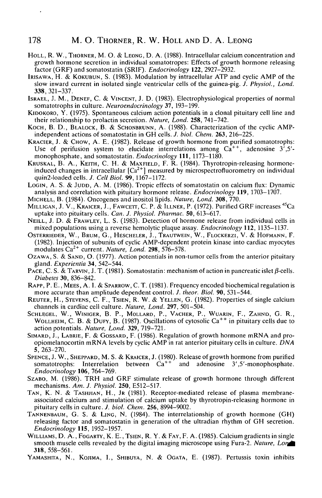#### 178 M. O. THORNER, R. W. HOLL AND D. A. LEONG

- HOLL, R. W., THORNER, M. O. & LEONG, D. A. (1988). Intracellular calcium concentration and growth hormone secretion in individual somatotropes: Effects of growth hormone releasing factor (GRF) and somatostatin (SRIF). *Endocrinology* **122,** 2927-2932.
- IRISAWA, H. & KOKUBUN, S. (1983). Modulation by intracellular ATP and cyclic AMP of the slow inward current in isolated single ventricular cells of the guinea-pig. *J. PhysioL, Lond.* **338,** 321-337.
- ISRAEL, J. M., DENEF, C. & VINCENT, J. D. (1983). Electrophysiological properties of normal somatotrophs in culture. *Neuroendocrinology* 37, 193-199.
- KIDOKORO, Y. (1975). Spontaneous calcium action potentials in a clonal pituitary cell line and their relationship to prolactin secretion. *Nature, Lond.* **258,** 741-742.
- KOCH, B. D., BLALOCK, B. & SCHONBRUNN, A. (1988). Characterization of the cyclic AMPindependent actions of somatostatin in GH cells. *J. biol. Chem.* **263,** 216-225.
- KRACIER, J. & CHOW, A. E. (1982). Release of growth hormone from purified somatotrophs: Use of perifusion system to elucidate interrelations among  $Ca^{++}$ , adenosine  $3^7,5^7$ monophosphate, and somatostatin. *Endocrinology* **111,** 1173-1180.
- KRUSKAL, B. A., KEITH, C. H. & MAXFIELD, F. R. (1984). Thyrotropin-releasing hormoneinduced changes in intracellular  $\lceil Ca^{2+} \rceil$  measured by microspectrofluorometry on individual quin2-loaded cells. *J. Cell Biol.* **99,**1167-1172.
- LOGIN, A. S. & JUDD, A. M. (1986). Tropic effects of somatostatin on calcium flux: Dynamic analysis and correlation with pituitary hormone release. *Endocrinology* **119,** 1703-1707.
- MICHELL, B. (1984). Oncogenes and inositol lipids. *Nature, Lond.* **308,** 770.
- MILLIGAN, J. V., KRAICER, J., FAWCETT, C. P. & ILLNER, P. (1972). Purified GRF increases <sup>45</sup>Ca uptake into pituitary cells. *Can. J. PhysioL Pharmac.* **50,** 613-617.
- NEILL, J. D. & FRAWLEY, L. S. (1983). Detection of hormone release from individual cells in mixed populations using a reverse hemolytic plaque assay. *Endocrinology* **112,** 1135-1137.
- OSTERRIEDER, W. , BRUM, G. , HESCHELER, J. , TRAUTWEIN, W. , FLOCKERZI, V . & HOFMANN, F . (1982). Injection of subunits of cyclic AMP-dependent protein kinase into cardiac myocytes modulates Ca2+ current. *Nature, Lond.* **298,** 576-578.
- OZAWA, S. & SAND, O. (1977). Action potentials in non-tumor cells from the anterior pituitary gland. *Experientia* 34, 542-544.
- PACE, C. S. & TARVIN, J. T. (1981). Somatostatin: mechanism of action in pancreatic islet  $\beta$ -cells. *Diabetes* **30,** 836-842.
- RAPP, P. E., MEES, A. I. & SPARROW, C. T. (1981). Frequency encoded biochemical regulation is more accurate than amplitude dependent control. *J. theor. Biol.* **90,** 531-544.
- REUTER, H., STEVENS, C. F., TSIEN, R. W. & YELLEN, G. (1982). Properties of single calcium channels in cardiac cell culture. *Nature, Lond.* **297,** 501-504.
- SCHLEGEL, W., WINIGER, B. P., MOLLARD, P., VACHER, P., WUARIN, F., ZAHND, G. R., WOLLHEIM, C. B. & DUFY, B. (1987). Oscillations of cytosolic Ca<sup>++</sup> in pituitary cells due to action potentials. *Nature, Lond.* **329,** 719-721.
- SIMARD, J., LABRIE, F. & GOSSARD, F. (1986). Regulation of growth hormone mRNA and proopiomelanocortin mRNA levels by cyclic AMP in rat anterior pituitary cells in culture. *DNA* 5, 263-270.
- SPENCE, J. W., SHEPPARD, M. S. & KRAICER, J. (1980). Release of growth hormone from purified somatotrophs: Interrelation between  $\hat{Ca}^{++}$  and adenosine 3',5'-monophosphate. *Endocrinology* **106,** 764-769.
- SZABO, M. (1986). TRH and GRF stimulate release of growth hormone through different mechanisms. *Am. J. PhysioL* **250,** E512-517.
- TAN, K. N. & TASHJIAN, H., JR (1981). Receptor-mediated release of plasma membraneassociated calcium and stimulation of calcium uptake by thyrotropin-releasing hormone in pituitary cells in culture. *J. biol. Chem.* **256,** 8994-9002.
- TANNENBAUM, G. S. & LING, N. (1984). The interrelationship of growth hormone (GH) releasing factor and somatostatin in generation of the ultradian rhythm of GH secretion. *Endocrinology* **115,** 1952-1957.
- WILLIAMS, D. A., FOGARTY, K. E., TSIEN, R. Y. & FAY, F. A. (1985). Calcium gradients in single smooth muscle cells revealed by the digital imaging microscope using Fura-2. *Nature, Lor^* 318,558-561.
- YAMASHITA, N., KOJIMA, I., SHIBUYA, N. & OGATA, E. (1987). Pertussis toxin inhibits